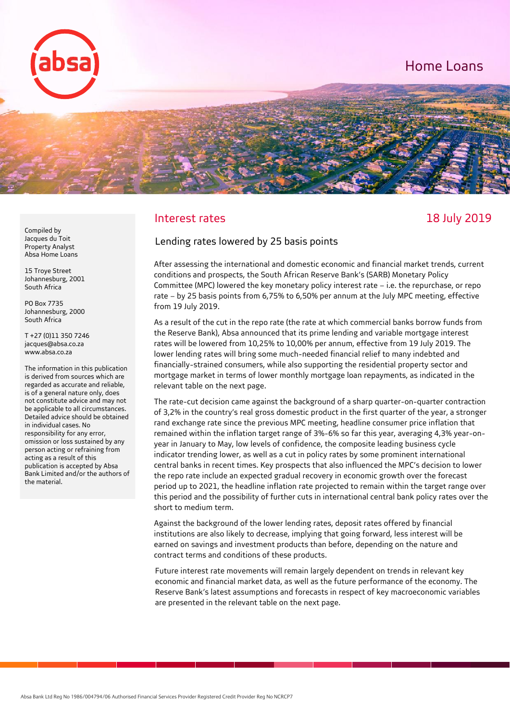

# Interest rates and the state of the 18 July 2019

#### Lending rates lowered by 25 basis points

After assessing the international and domestic economic and financial market trends, current conditions and prospects, the South African Reserve Bank's (SARB) Monetary Policy Committee (MPC) lowered the key monetary policy interest rate – i.e. the repurchase, or repo rate – by 25 basis points from 6,75% to 6,50% per annum at the July MPC meeting, effective from 19 July 2019.

As a result of the cut in the repo rate (the rate at which commercial banks borrow funds from the Reserve Bank), Absa announced that its prime lending and variable mortgage interest rates will be lowered from 10,25% to 10,00% per annum, effective from 19 July 2019. The lower lending rates will bring some much-needed financial relief to many indebted and financially-strained consumers, while also supporting the residential property sector and mortgage market in terms of lower monthly mortgage loan repayments, as indicated in the relevant table on the next page.

The rate-cut decision came against the background of a sharp quarter-on-quarter contraction of 3,2% in the country's real gross domestic product in the first quarter of the year, a stronger rand exchange rate since the previous MPC meeting, headline consumer price inflation that remained within the inflation target range of 3%-6% so far this year, averaging 4,3% year-on year in January to May, low levels of confidence, the composite leading business cycle indicator trending lower, as well as a cut in policy rates by some prominent international central banks in recent times. Key prospects that also influenced the MPC's decision to lower the repo rate include an expected gradual recovery in economic growth over the forecast period up to 2021, the headline inflation rate projected to remain within the target range over this period and the possibility of further cuts in international central bank policy rates over the short to medium term.

Against the background of the lower lending rates, deposit rates offered by financial institutions are also likely to decrease, implying that going forward, less interest will be earned on savings and investment products than before, depending on the nature and contract terms and conditions of these products.

Future interest rate movements will remain largely dependent on trends in relevant key economic and financial market data, as well as the future performance of the economy. The Reserve Bank's latest assumptions and forecasts in respect of key macroeconomic variables are presented in the relevant table on the next page.

Compiled by Jacques du Toit Property Analyst Absa Home Loans

15 Troye Street Johannesburg, 2001 South Africa

PO Box 7735 Johannesburg, 2000 South Africa

T +27 (0)11 350 7246 jacques@absa.co.za www.absa.co.za

The information in this publication is derived from sources which are regarded as accurate and reliable, is of a general nature only, does not constitute advice and may not be applicable to all circumstances. Detailed advice should be obtained in individual cases. No responsibility for any error, omission or loss sustained by any person acting or refraining from acting as a result of this publication is accepted by Absa Bank Limited and/or the authors of the material.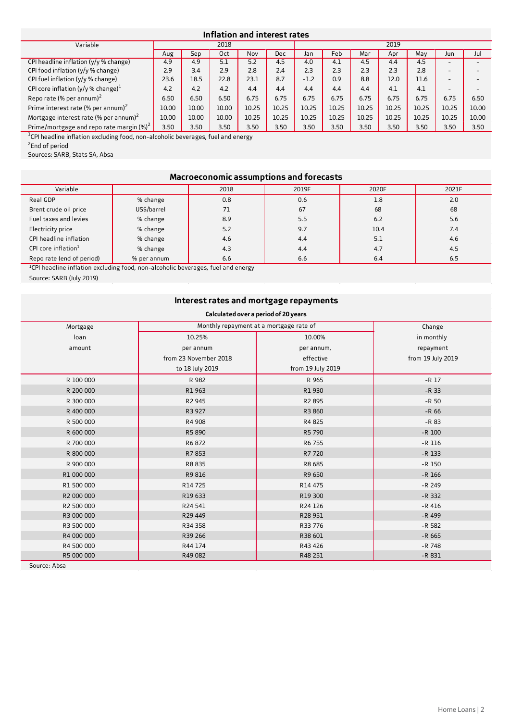### **Inflation and interest rates**

| Variable                                          | 2018  |       |       | 2019  |       |        |       |       |       |       |                          |       |
|---------------------------------------------------|-------|-------|-------|-------|-------|--------|-------|-------|-------|-------|--------------------------|-------|
|                                                   | Aug   | Sep   | 0ct   | Nov   | Dec   | Jan    | Feb   | Mar   | Apr   | May   | Jun                      | Jul   |
| CPI headline inflation $(y/y \%$ change)          | 4.9   | 4.9   | 5.1   | 5.2   | 4.5   | 4.0    | 4.1   | 4.5   | 4.4   | 4.5   | $\overline{\phantom{a}}$ |       |
| CPI food inflation $(y/y \%$ change)              | 2.9   | 3.4   | 2.9   | 2.8   | 2.4   | 2.3    | 2.3   | 2.3   | 2.3   | 2.8   | -                        |       |
| CPI fuel inflation (y/y % change)                 | 23.6  | 18.5  | 22.8  | 23.1  | 8.7   | $-1.2$ | 0.9   | 8.8   | 12.0  | 11.6  | -                        |       |
| CPI core inflation (y/y % change) $^1$            | 4.2   | 4.2   | 4.2   | 4.4   | 4.4   | 4.4    | 4.4   | 4.4   | 4.1   | 4.1   | $\sim$                   |       |
| Repo rate (% per annum) $^2$                      | 6.50  | 6.50  | 6.50  | 6.75  | 6.75  | 6.75   | 6.75  | 6.75  | 6.75  | 6.75  | 6.75                     | 6.50  |
| Prime interest rate (% per annum) <sup>2</sup>    | 10.00 | 10.00 | 10.00 | 10.25 | 10.25 | 10.25  | 10.25 | 10.25 | 10.25 | 10.25 | 10.25                    | 10.00 |
| Mortgage interest rate (% per annum) <sup>2</sup> | 10.00 | 10.00 | 10.00 | 10.25 | 10.25 | 10.25  | 10.25 | 10.25 | 10.25 | 10.25 | 10.25                    | 10.00 |
| Prime/mortgage and repo rate margin $(\%)^2$      | 3.50  | 3.50  | 3.50  | 3.50  | 3.50  | 3.50   | 3.50  | 3.50  | 3.50  | 3.50  | 3.50                     | 3.50  |

<sup>1</sup>CPI headline inflation excluding food, non-alcoholic beverages, fuel and energy

<sup>2</sup>End of period

Sources: SARB, Stats SA, Absa

# **Macroeconomic assumptions and forecasts**

| Variable                  |             | 2018 | 2019F | 2020F | 2021F |
|---------------------------|-------------|------|-------|-------|-------|
| Real GDP                  | % change    | 0.8  | 0.6   | 1.8   | 2.0   |
| Brent crude oil price     | US\$/barrel | 71   | 67    | 68    | 68    |
| Fuel taxes and levies     | % change    | 8.9  | 5.5   | 6.2   | 5.6   |
| Electricity price         | % change    | 5.2  | 9.7   | 10.4  | 7.4   |
| CPI headline inflation    | % change    | 4.6  | 4.4   | 5.1   | 4.6   |
| CPI core inflation $1$    | % change    | 4.3  | 4.4   | 4.7   | 4.5   |
| Repo rate (end of period) | % per annum | 6.6  | 6.6   | 6.4   | 6.5   |

<sup>1</sup>CPI headline inflation excluding food, non-alcoholic beverages, fuel and energy

Source: SARB (July 2019)

# **Interest rates and mortgage repayments**

# **Calculated over a period of 20 years**

| Mortgage   | Monthly repayment at a mortgage rate of | Change            |                   |
|------------|-----------------------------------------|-------------------|-------------------|
| loan       | 10.25%                                  | 10.00%            | in monthly        |
| amount     | per annum                               | per annum,        | repayment         |
|            | from 23 November 2018                   | effective         | from 19 July 2019 |
|            | to 18 July 2019                         | from 19 July 2019 |                   |
| R 100 000  | R 982                                   | R 965             | $-R$ 17           |
| R 200 000  | R1963                                   | R1930             | $-R$ 33           |
| R 300 000  | R2 945                                  | R2 895            | $-R$ 50           |
| R 400 000  | R3 927                                  | R3 860            | $-R$ 66           |
| R 500 000  | R4 908                                  | R4825             | $-R83$            |
| R 600 000  | R5890                                   | R5 790            | $-R$ 100          |
| R 700 000  | R6872                                   | R6 755            | $-R$ 116          |
| R 800 000  | R7853                                   | R7720             | $-R$ 133          |
| R 900 000  | R8835                                   | R8 685            | $-R$ 150          |
| R1 000 000 | R9816                                   | R9 650            | $-R$ 166          |
| R1 500 000 | R14 725                                 | R14 475           | $-R$ 249          |
| R2 000 000 | R19 633                                 | R19 300           | $-R$ 332          |
| R2 500 000 | R24 541                                 | R24 126           | $-R$ 416          |
| R3 000 000 | R29 449                                 | R28 951           | -R 499            |
| R3 500 000 | R34 358                                 | R33 776           | $-R$ 582          |
| R4 000 000 | R39 266                                 | R38 601           | $-R$ 665          |
| R4 500 000 | R44 174                                 | R43 426           | $-R$ 748          |
| R5 000 000 | R49 082                                 | R48 251           | $-R831$           |